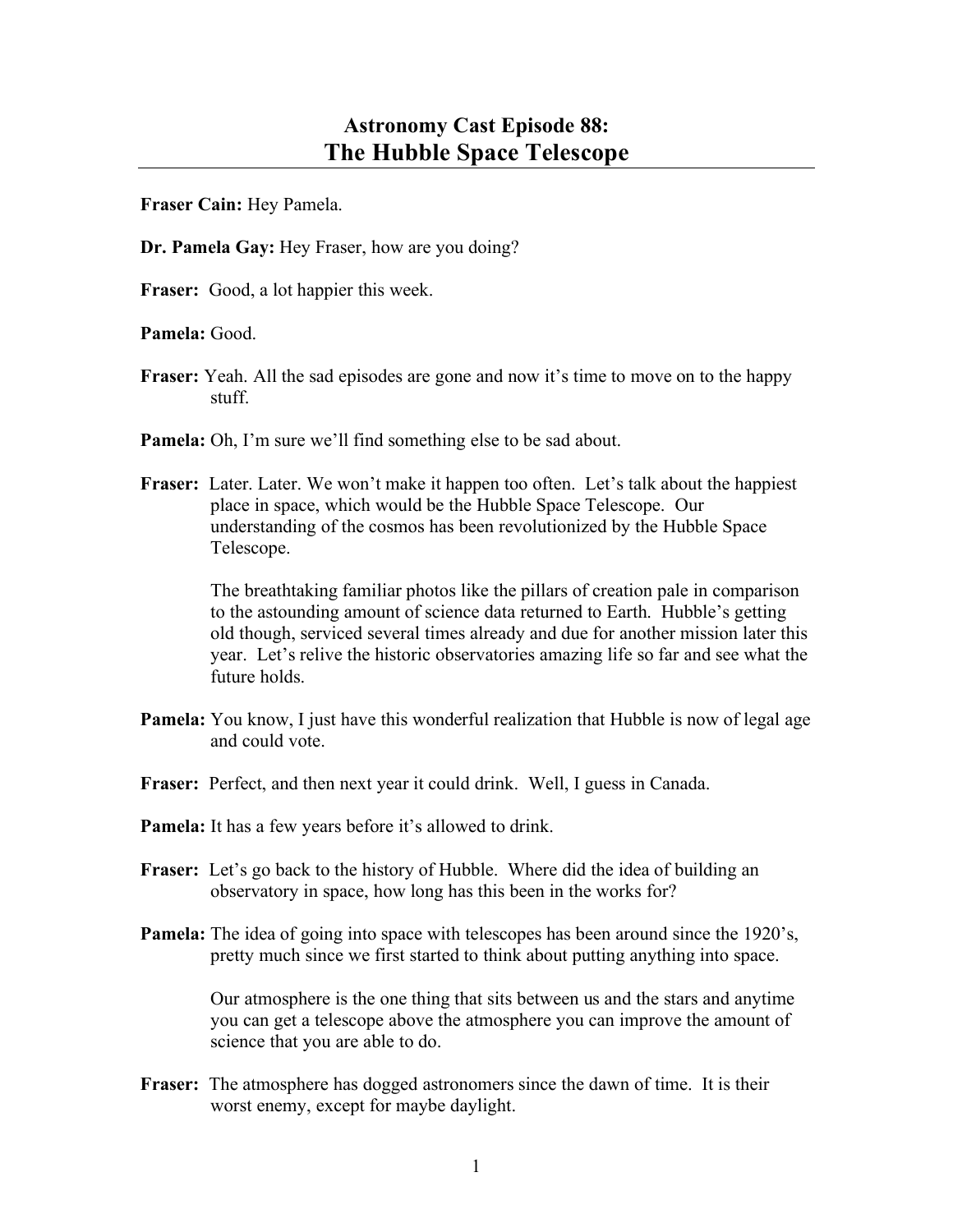**Fraser Cain:** Hey Pamela.

**Dr. Pamela Gay:** Hey Fraser, how are you doing?

**Fraser:** Good, a lot happier this week.

**Pamela:** Good.

- **Fraser:** Yeah. All the sad episodes are gone and now it's time to move on to the happy stuff.
- **Pamela:** Oh, I'm sure we'll find something else to be sad about.
- **Fraser:** Later. Later. We won't make it happen too often. Let's talk about the happiest place in space, which would be the Hubble Space Telescope. Our understanding of the cosmos has been revolutionized by the Hubble Space Telescope.

The breathtaking familiar photos like the pillars of creation pale in comparison to the astounding amount of science data returned to Earth. Hubble's getting old though, serviced several times already and due for another mission later this year. Let's relive the historic observatories amazing life so far and see what the future holds.

- **Pamela:** You know, I just have this wonderful realization that Hubble is now of legal age and could vote.
- **Fraser:** Perfect, and then next year it could drink. Well, I guess in Canada.
- **Pamela:** It has a few years before it's allowed to drink.
- **Fraser:** Let's go back to the history of Hubble. Where did the idea of building an observatory in space, how long has this been in the works for?
- **Pamela:** The idea of going into space with telescopes has been around since the 1920's, pretty much since we first started to think about putting anything into space.

Our atmosphere is the one thing that sits between us and the stars and anytime you can get a telescope above the atmosphere you can improve the amount of science that you are able to do.

**Fraser:** The atmosphere has dogged astronomers since the dawn of time. It is their worst enemy, except for maybe daylight.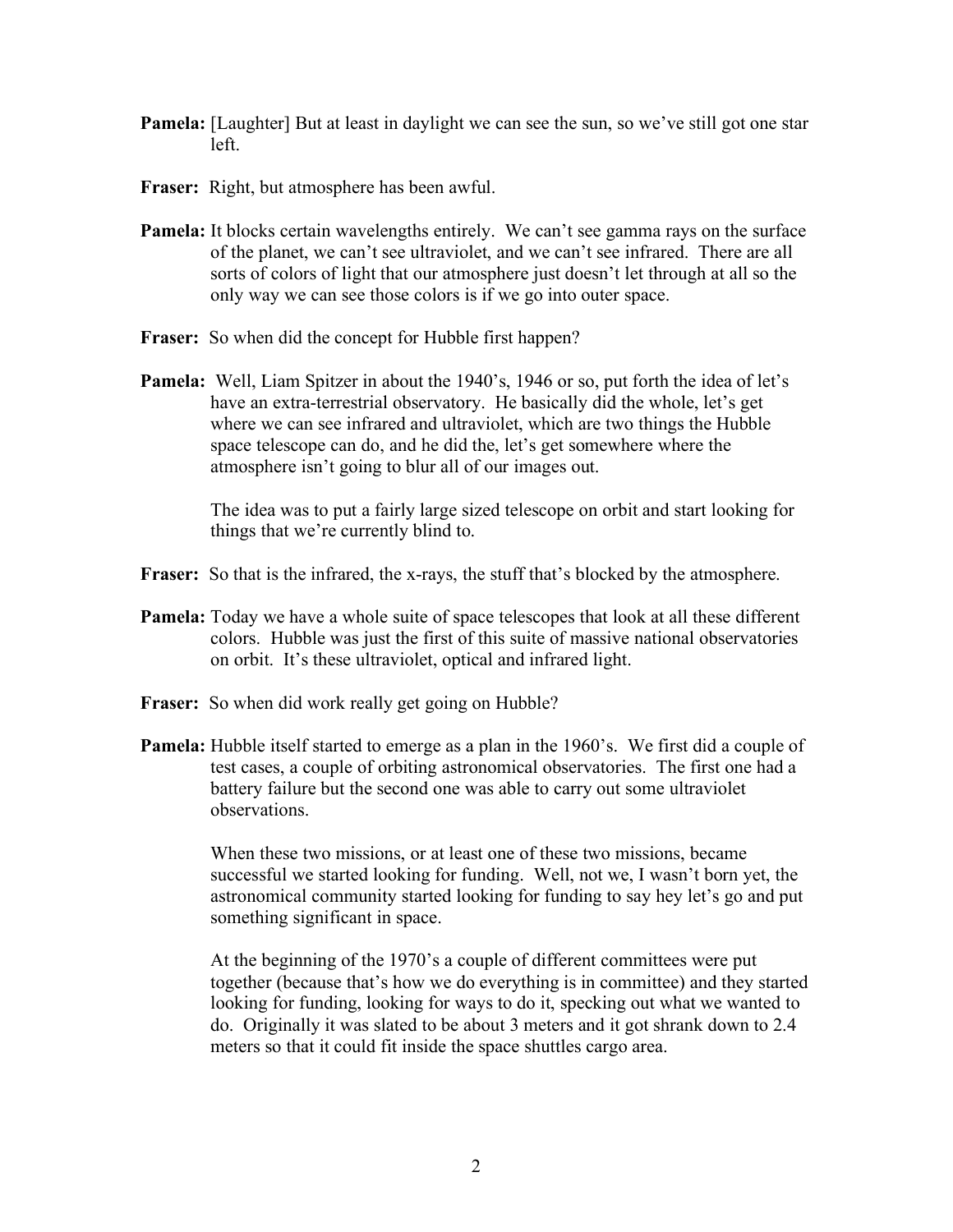- **Pamela:** [Laughter] But at least in daylight we can see the sun, so we've still got one star left.
- **Fraser:** Right, but atmosphere has been awful.
- **Pamela:** It blocks certain wavelengths entirely. We can't see gamma rays on the surface of the planet, we can't see ultraviolet, and we can't see infrared. There are all sorts of colors of light that our atmosphere just doesn't let through at all so the only way we can see those colors is if we go into outer space.
- **Fraser:** So when did the concept for Hubble first happen?
- **Pamela:** Well, Liam Spitzer in about the 1940's, 1946 or so, put forth the idea of let's have an extra-terrestrial observatory. He basically did the whole, let's get where we can see infrared and ultraviolet, which are two things the Hubble space telescope can do, and he did the, let's get somewhere where the atmosphere isn't going to blur all of our images out.

The idea was to put a fairly large sized telescope on orbit and start looking for things that we're currently blind to.

- Fraser: So that is the infrared, the x-rays, the stuff that's blocked by the atmosphere.
- **Pamela:** Today we have a whole suite of space telescopes that look at all these different colors. Hubble was just the first of this suite of massive national observatories on orbit. It's these ultraviolet, optical and infrared light.
- **Fraser:** So when did work really get going on Hubble?
- **Pamela:** Hubble itself started to emerge as a plan in the 1960's. We first did a couple of test cases, a couple of orbiting astronomical observatories. The first one had a battery failure but the second one was able to carry out some ultraviolet observations.

When these two missions, or at least one of these two missions, became successful we started looking for funding. Well, not we, I wasn't born yet, the astronomical community started looking for funding to say hey let's go and put something significant in space.

At the beginning of the 1970's a couple of different committees were put together (because that's how we do everything is in committee) and they started looking for funding, looking for ways to do it, specking out what we wanted to do. Originally it was slated to be about 3 meters and it got shrank down to 2.4 meters so that it could fit inside the space shuttles cargo area.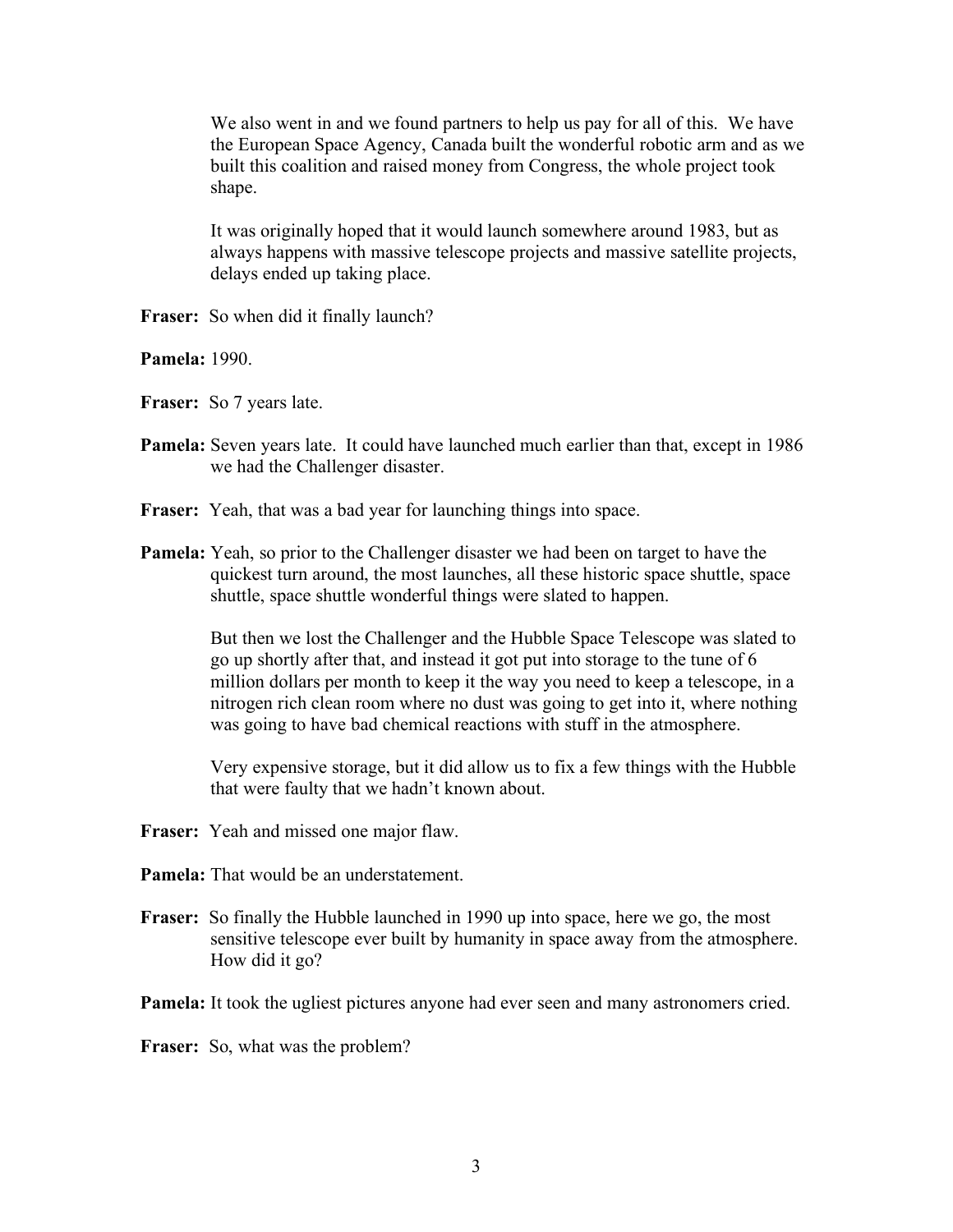We also went in and we found partners to help us pay for all of this. We have the European Space Agency, Canada built the wonderful robotic arm and as we built this coalition and raised money from Congress, the whole project took shape.

It was originally hoped that it would launch somewhere around 1983, but as always happens with massive telescope projects and massive satellite projects, delays ended up taking place.

**Fraser:** So when did it finally launch?

**Pamela:** 1990.

- **Fraser:** So 7 years late.
- **Pamela:** Seven years late. It could have launched much earlier than that, except in 1986 we had the Challenger disaster.
- **Fraser:** Yeah, that was a bad year for launching things into space.
- **Pamela:** Yeah, so prior to the Challenger disaster we had been on target to have the quickest turn around, the most launches, all these historic space shuttle, space shuttle, space shuttle wonderful things were slated to happen.

But then we lost the Challenger and the Hubble Space Telescope was slated to go up shortly after that, and instead it got put into storage to the tune of 6 million dollars per month to keep it the way you need to keep a telescope, in a nitrogen rich clean room where no dust was going to get into it, where nothing was going to have bad chemical reactions with stuff in the atmosphere.

Very expensive storage, but it did allow us to fix a few things with the Hubble that were faulty that we hadn't known about.

- **Fraser:** Yeah and missed one major flaw.
- **Pamela:** That would be an understatement.
- **Fraser:** So finally the Hubble launched in 1990 up into space, here we go, the most sensitive telescope ever built by humanity in space away from the atmosphere. How did it go?

**Pamela:** It took the ugliest pictures anyone had ever seen and many astronomers cried.

**Fraser:** So, what was the problem?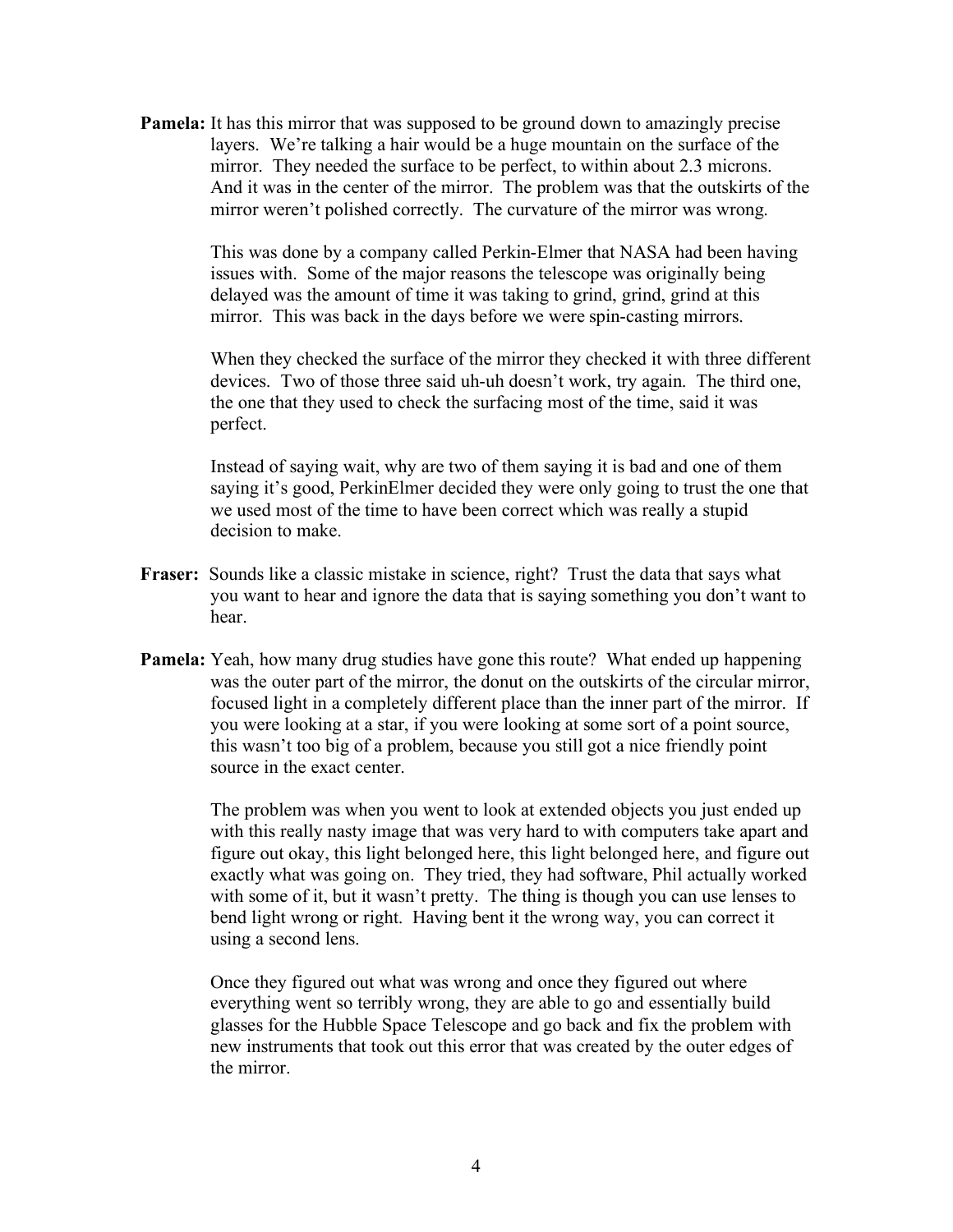**Pamela:** It has this mirror that was supposed to be ground down to amazingly precise layers. We're talking a hair would be a huge mountain on the surface of the mirror. They needed the surface to be perfect, to within about 2.3 microns. And it was in the center of the mirror. The problem was that the outskirts of the mirror weren't polished correctly. The curvature of the mirror was wrong.

> This was done by a company called Perkin-Elmer that NASA had been having issues with. Some of the major reasons the telescope was originally being delayed was the amount of time it was taking to grind, grind, grind at this mirror. This was back in the days before we were spin-casting mirrors.

When they checked the surface of the mirror they checked it with three different devices. Two of those three said uh-uh doesn't work, try again. The third one, the one that they used to check the surfacing most of the time, said it was perfect.

Instead of saying wait, why are two of them saying it is bad and one of them saying it's good, PerkinElmer decided they were only going to trust the one that we used most of the time to have been correct which was really a stupid decision to make.

- **Fraser:** Sounds like a classic mistake in science, right? Trust the data that says what you want to hear and ignore the data that is saying something you don't want to hear.
- **Pamela:** Yeah, how many drug studies have gone this route? What ended up happening was the outer part of the mirror, the donut on the outskirts of the circular mirror, focused light in a completely different place than the inner part of the mirror. If you were looking at a star, if you were looking at some sort of a point source, this wasn't too big of a problem, because you still got a nice friendly point source in the exact center.

The problem was when you went to look at extended objects you just ended up with this really nasty image that was very hard to with computers take apart and figure out okay, this light belonged here, this light belonged here, and figure out exactly what was going on. They tried, they had software, Phil actually worked with some of it, but it wasn't pretty. The thing is though you can use lenses to bend light wrong or right. Having bent it the wrong way, you can correct it using a second lens.

Once they figured out what was wrong and once they figured out where everything went so terribly wrong, they are able to go and essentially build glasses for the Hubble Space Telescope and go back and fix the problem with new instruments that took out this error that was created by the outer edges of the mirror.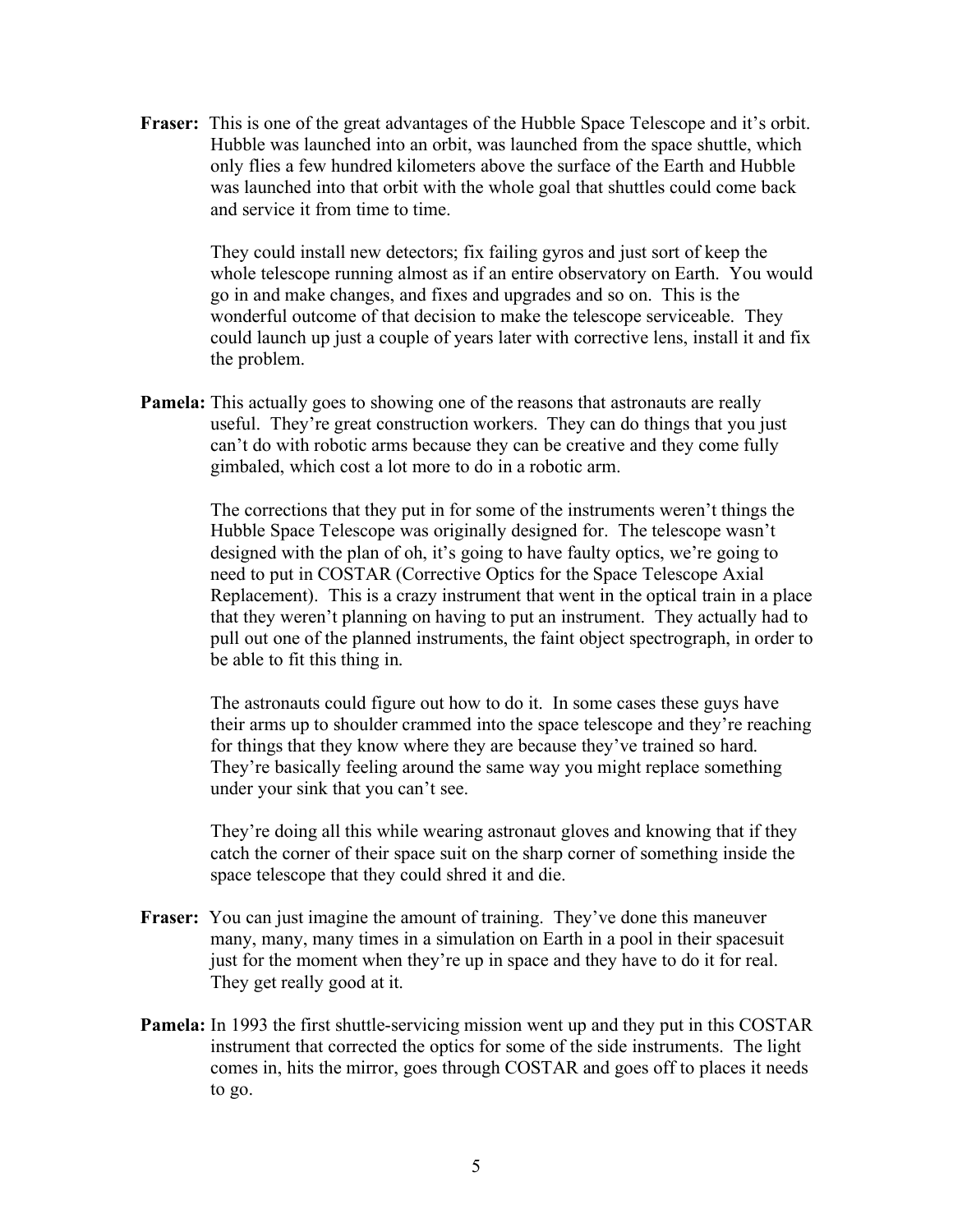**Fraser:** This is one of the great advantages of the Hubble Space Telescope and it's orbit. Hubble was launched into an orbit, was launched from the space shuttle, which only flies a few hundred kilometers above the surface of the Earth and Hubble was launched into that orbit with the whole goal that shuttles could come back and service it from time to time.

> They could install new detectors; fix failing gyros and just sort of keep the whole telescope running almost as if an entire observatory on Earth. You would go in and make changes, and fixes and upgrades and so on. This is the wonderful outcome of that decision to make the telescope serviceable. They could launch up just a couple of years later with corrective lens, install it and fix the problem.

**Pamela:** This actually goes to showing one of the reasons that astronauts are really useful. They're great construction workers. They can do things that you just can't do with robotic arms because they can be creative and they come fully gimbaled, which cost a lot more to do in a robotic arm.

> The corrections that they put in for some of the instruments weren't things the Hubble Space Telescope was originally designed for. The telescope wasn't designed with the plan of oh, it's going to have faulty optics, we're going to need to put in COSTAR (Corrective Optics for the Space Telescope Axial Replacement). This is a crazy instrument that went in the optical train in a place that they weren't planning on having to put an instrument. They actually had to pull out one of the planned instruments, the faint object spectrograph, in order to be able to fit this thing in.

> The astronauts could figure out how to do it. In some cases these guys have their arms up to shoulder crammed into the space telescope and they're reaching for things that they know where they are because they've trained so hard. They're basically feeling around the same way you might replace something under your sink that you can't see.

They're doing all this while wearing astronaut gloves and knowing that if they catch the corner of their space suit on the sharp corner of something inside the space telescope that they could shred it and die.

- Fraser: You can just imagine the amount of training. They've done this maneuver many, many, many times in a simulation on Earth in a pool in their spacesuit just for the moment when they're up in space and they have to do it for real. They get really good at it.
- **Pamela:** In 1993 the first shuttle-servicing mission went up and they put in this COSTAR instrument that corrected the optics for some of the side instruments. The light comes in, hits the mirror, goes through COSTAR and goes off to places it needs to go.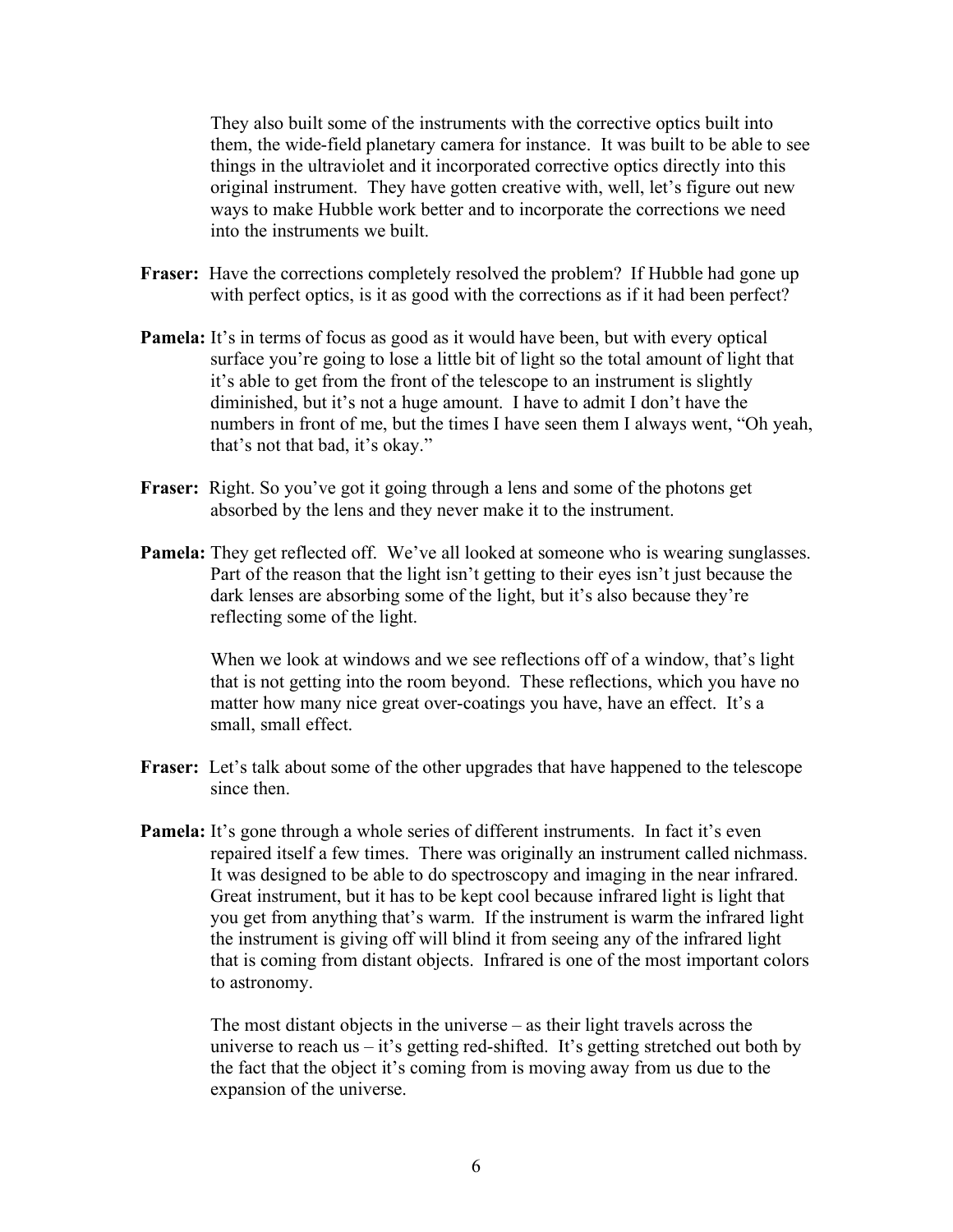They also built some of the instruments with the corrective optics built into them, the wide-field planetary camera for instance. It was built to be able to see things in the ultraviolet and it incorporated corrective optics directly into this original instrument. They have gotten creative with, well, let's figure out new ways to make Hubble work better and to incorporate the corrections we need into the instruments we built.

- **Fraser:** Have the corrections completely resolved the problem? If Hubble had gone up with perfect optics, is it as good with the corrections as if it had been perfect?
- **Pamela:** It's in terms of focus as good as it would have been, but with every optical surface you're going to lose a little bit of light so the total amount of light that it's able to get from the front of the telescope to an instrument is slightly diminished, but it's not a huge amount. I have to admit I don't have the numbers in front of me, but the times I have seen them I always went, "Oh yeah, that's not that bad, it's okay."
- **Fraser:** Right. So you've got it going through a lens and some of the photons get absorbed by the lens and they never make it to the instrument.
- **Pamela:** They get reflected off. We've all looked at someone who is wearing sunglasses. Part of the reason that the light isn't getting to their eyes isn't just because the dark lenses are absorbing some of the light, but it's also because they're reflecting some of the light.

When we look at windows and we see reflections off of a window, that's light that is not getting into the room beyond. These reflections, which you have no matter how many nice great over-coatings you have, have an effect. It's a small, small effect.

- **Fraser:** Let's talk about some of the other upgrades that have happened to the telescope since then.
- **Pamela:** It's gone through a whole series of different instruments. In fact it's even repaired itself a few times. There was originally an instrument called nichmass. It was designed to be able to do spectroscopy and imaging in the near infrared. Great instrument, but it has to be kept cool because infrared light is light that you get from anything that's warm. If the instrument is warm the infrared light the instrument is giving off will blind it from seeing any of the infrared light that is coming from distant objects. Infrared is one of the most important colors to astronomy.

The most distant objects in the universe – as their light travels across the universe to reach us – it's getting red-shifted. It's getting stretched out both by the fact that the object it's coming from is moving away from us due to the expansion of the universe.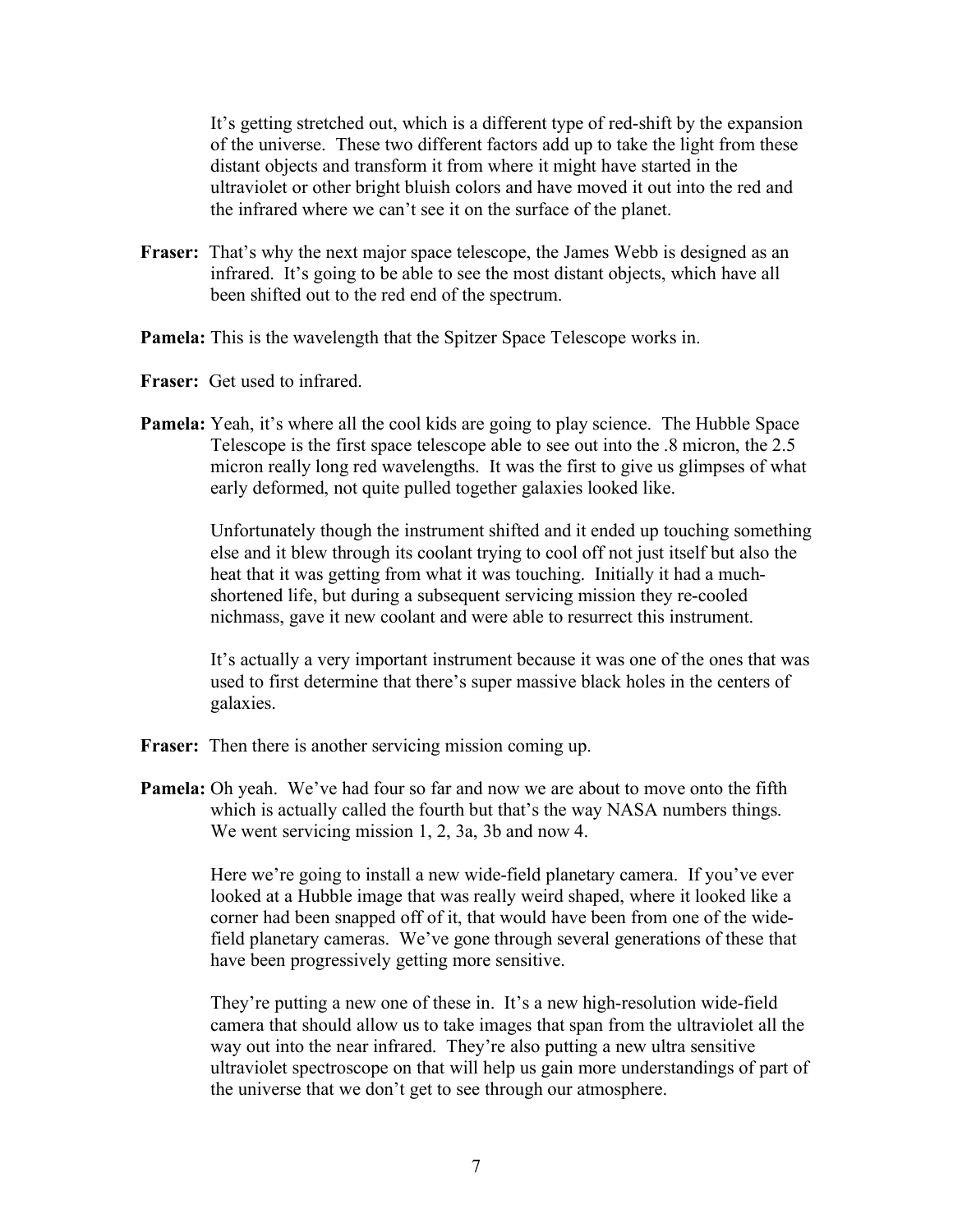It's getting stretched out, which is a different type of red-shift by the expansion of the universe. These two different factors add up to take the light from these distant objects and transform it from where it might have started in the ultraviolet or other bright bluish colors and have moved it out into the red and the infrared where we can't see it on the surface of the planet.

- **Fraser:** That's why the next major space telescope, the James Webb is designed as an infrared. It's going to be able to see the most distant objects, which have all been shifted out to the red end of the spectrum.
- **Pamela:** This is the wavelength that the Spitzer Space Telescope works in.
- **Fraser:** Get used to infrared.
- **Pamela:** Yeah, it's where all the cool kids are going to play science. The Hubble Space Telescope is the first space telescope able to see out into the .8 micron, the 2.5 micron really long red wavelengths. It was the first to give us glimpses of what early deformed, not quite pulled together galaxies looked like.

Unfortunately though the instrument shifted and it ended up touching something else and it blew through its coolant trying to cool off not just itself but also the heat that it was getting from what it was touching. Initially it had a muchshortened life, but during a subsequent servicing mission they re-cooled nichmass, gave it new coolant and were able to resurrect this instrument.

It's actually a very important instrument because it was one of the ones that was used to first determine that there's super massive black holes in the centers of galaxies.

- **Fraser:** Then there is another servicing mission coming up.
- **Pamela:** Oh yeah. We've had four so far and now we are about to move onto the fifth which is actually called the fourth but that's the way NASA numbers things. We went servicing mission 1, 2, 3a, 3b and now 4.

Here we're going to install a new wide-field planetary camera. If you've ever looked at a Hubble image that was really weird shaped, where it looked like a corner had been snapped off of it, that would have been from one of the widefield planetary cameras. We've gone through several generations of these that have been progressively getting more sensitive.

They're putting a new one of these in. It's a new high-resolution wide-field camera that should allow us to take images that span from the ultraviolet all the way out into the near infrared. They're also putting a new ultra sensitive ultraviolet spectroscope on that will help us gain more understandings of part of the universe that we don't get to see through our atmosphere.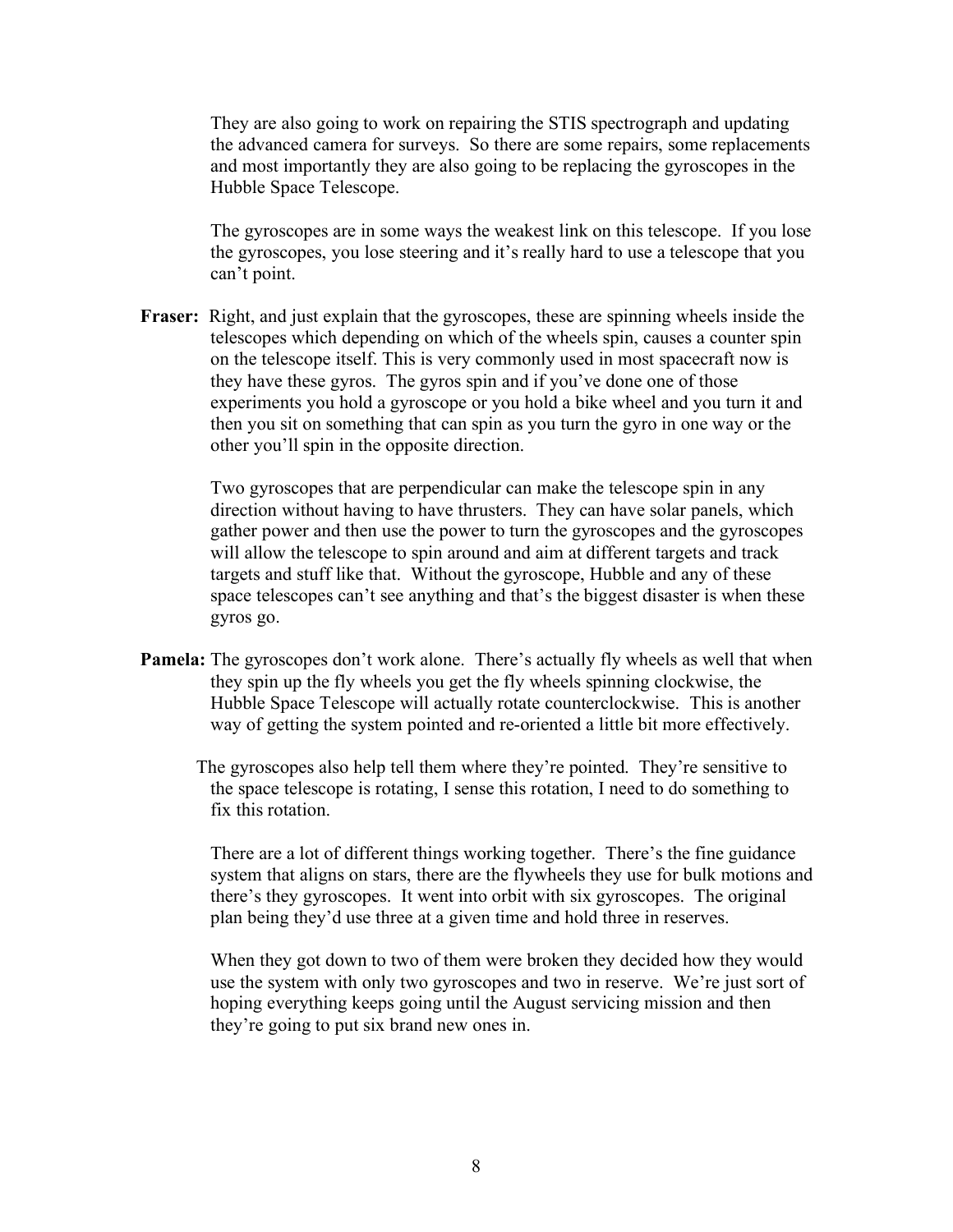They are also going to work on repairing the STIS spectrograph and updating the advanced camera for surveys. So there are some repairs, some replacements and most importantly they are also going to be replacing the gyroscopes in the Hubble Space Telescope.

The gyroscopes are in some ways the weakest link on this telescope. If you lose the gyroscopes, you lose steering and it's really hard to use a telescope that you can't point.

**Fraser:** Right, and just explain that the gyroscopes, these are spinning wheels inside the telescopes which depending on which of the wheels spin, causes a counter spin on the telescope itself. This is very commonly used in most spacecraft now is they have these gyros. The gyros spin and if you've done one of those experiments you hold a gyroscope or you hold a bike wheel and you turn it and then you sit on something that can spin as you turn the gyro in one way or the other you'll spin in the opposite direction.

> Two gyroscopes that are perpendicular can make the telescope spin in any direction without having to have thrusters. They can have solar panels, which gather power and then use the power to turn the gyroscopes and the gyroscopes will allow the telescope to spin around and aim at different targets and track targets and stuff like that. Without the gyroscope, Hubble and any of these space telescopes can't see anything and that's the biggest disaster is when these gyros go.

- **Pamela:** The gyroscopes don't work alone. There's actually fly wheels as well that when they spin up the fly wheels you get the fly wheels spinning clockwise, the Hubble Space Telescope will actually rotate counterclockwise. This is another way of getting the system pointed and re-oriented a little bit more effectively.
	- The gyroscopes also help tell them where they're pointed. They're sensitive to the space telescope is rotating, I sense this rotation, I need to do something to fix this rotation.

There are a lot of different things working together. There's the fine guidance system that aligns on stars, there are the flywheels they use for bulk motions and there's they gyroscopes. It went into orbit with six gyroscopes. The original plan being they'd use three at a given time and hold three in reserves.

When they got down to two of them were broken they decided how they would use the system with only two gyroscopes and two in reserve. We're just sort of hoping everything keeps going until the August servicing mission and then they're going to put six brand new ones in.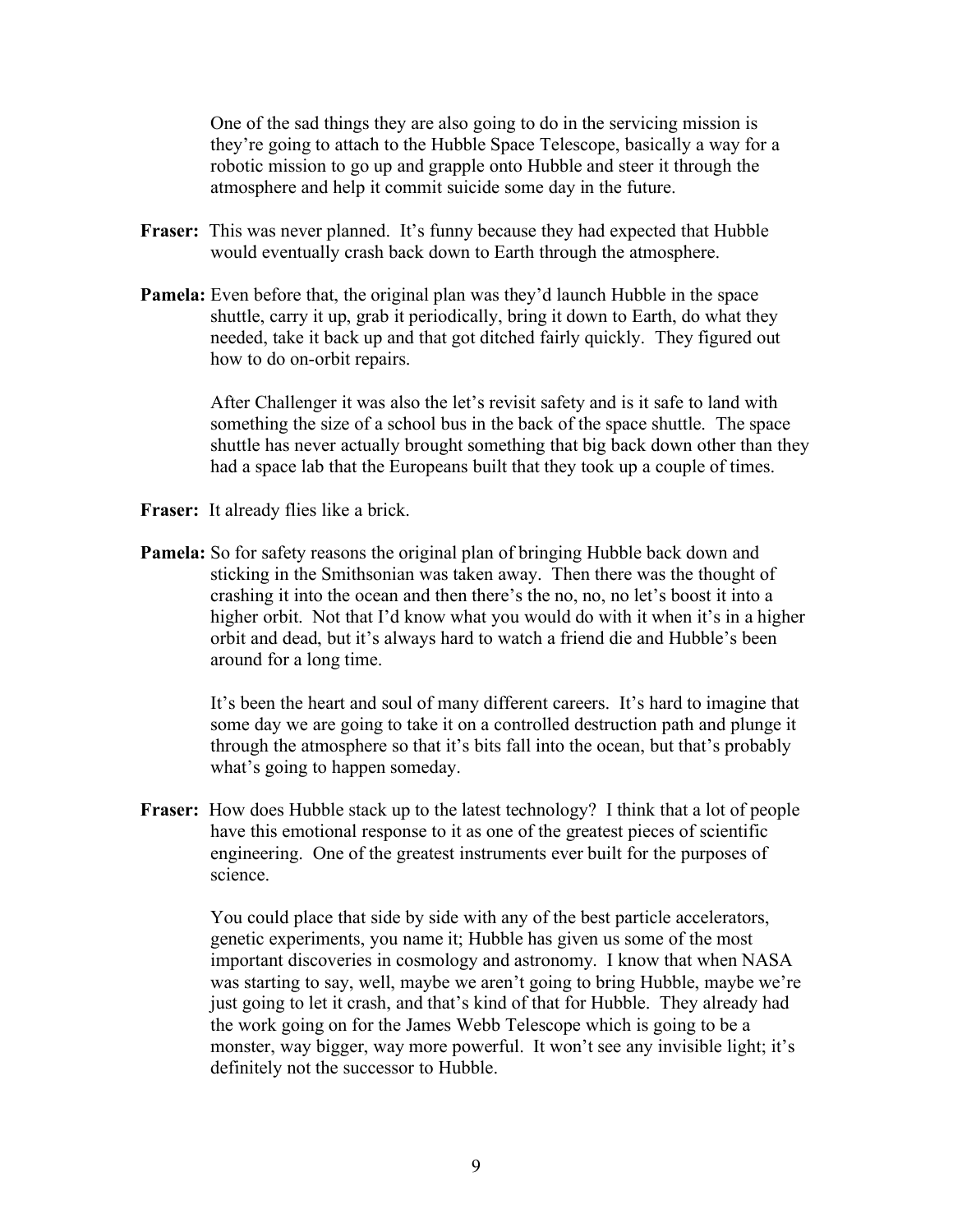One of the sad things they are also going to do in the servicing mission is they're going to attach to the Hubble Space Telescope, basically a way for a robotic mission to go up and grapple onto Hubble and steer it through the atmosphere and help it commit suicide some day in the future.

- **Fraser:** This was never planned. It's funny because they had expected that Hubble would eventually crash back down to Earth through the atmosphere.
- **Pamela:** Even before that, the original plan was they'd launch Hubble in the space shuttle, carry it up, grab it periodically, bring it down to Earth, do what they needed, take it back up and that got ditched fairly quickly. They figured out how to do on-orbit repairs.

After Challenger it was also the let's revisit safety and is it safe to land with something the size of a school bus in the back of the space shuttle. The space shuttle has never actually brought something that big back down other than they had a space lab that the Europeans built that they took up a couple of times.

- **Fraser:** It already flies like a brick.
- **Pamela:** So for safety reasons the original plan of bringing Hubble back down and sticking in the Smithsonian was taken away. Then there was the thought of crashing it into the ocean and then there's the no, no, no let's boost it into a higher orbit. Not that I'd know what you would do with it when it's in a higher orbit and dead, but it's always hard to watch a friend die and Hubble's been around for a long time.

It's been the heart and soul of many different careers. It's hard to imagine that some day we are going to take it on a controlled destruction path and plunge it through the atmosphere so that it's bits fall into the ocean, but that's probably what's going to happen someday.

**Fraser:** How does Hubble stack up to the latest technology? I think that a lot of people have this emotional response to it as one of the greatest pieces of scientific engineering. One of the greatest instruments ever built for the purposes of science.

> You could place that side by side with any of the best particle accelerators, genetic experiments, you name it; Hubble has given us some of the most important discoveries in cosmology and astronomy. I know that when NASA was starting to say, well, maybe we aren't going to bring Hubble, maybe we're just going to let it crash, and that's kind of that for Hubble. They already had the work going on for the James Webb Telescope which is going to be a monster, way bigger, way more powerful. It won't see any invisible light; it's definitely not the successor to Hubble.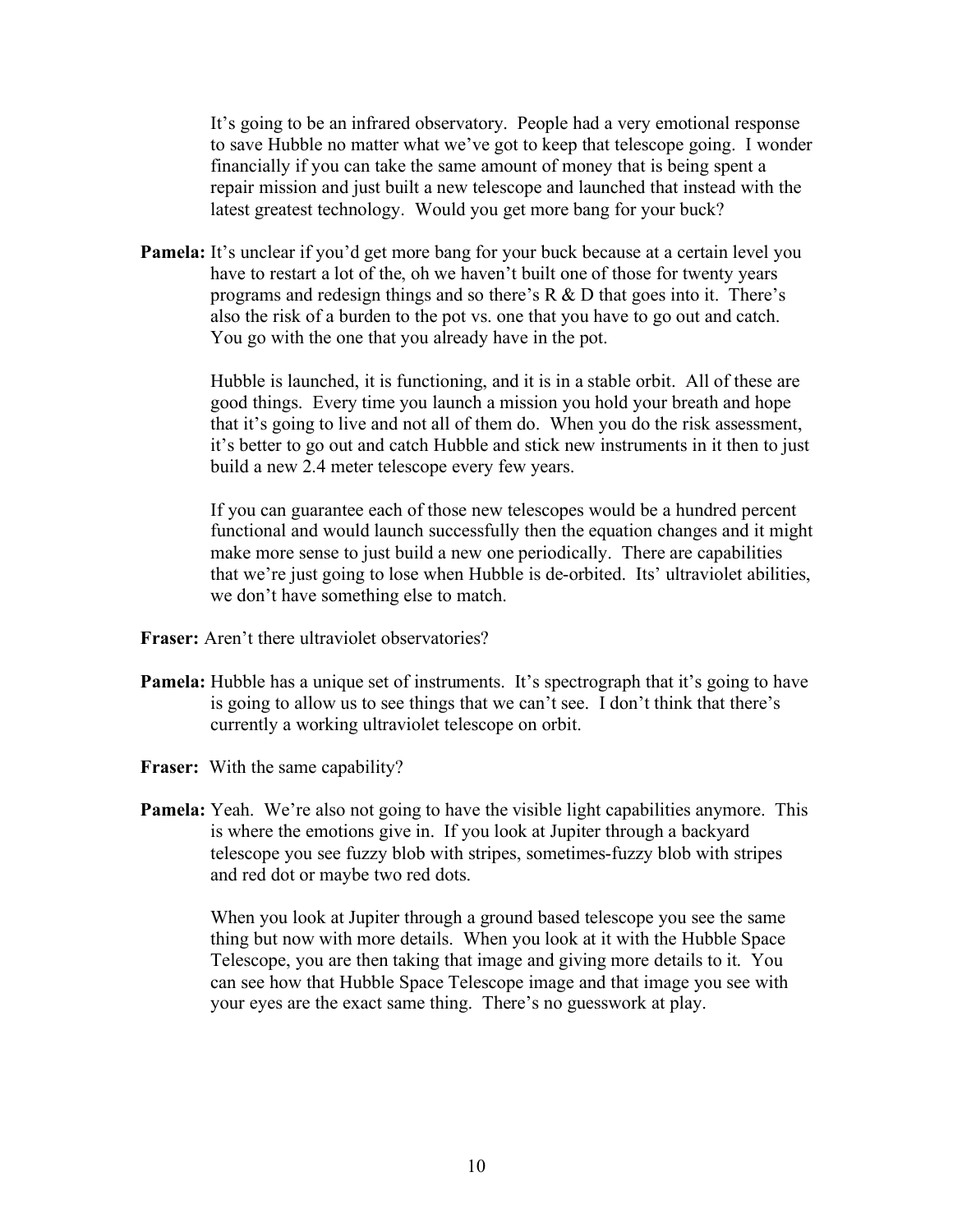It's going to be an infrared observatory. People had a very emotional response to save Hubble no matter what we've got to keep that telescope going. I wonder financially if you can take the same amount of money that is being spent a repair mission and just built a new telescope and launched that instead with the latest greatest technology. Would you get more bang for your buck?

**Pamela:** It's unclear if you'd get more bang for your buck because at a certain level you have to restart a lot of the, oh we haven't built one of those for twenty years programs and redesign things and so there's R & D that goes into it. There's also the risk of a burden to the pot vs. one that you have to go out and catch. You go with the one that you already have in the pot.

> Hubble is launched, it is functioning, and it is in a stable orbit. All of these are good things. Every time you launch a mission you hold your breath and hope that it's going to live and not all of them do. When you do the risk assessment, it's better to go out and catch Hubble and stick new instruments in it then to just build a new 2.4 meter telescope every few years.

> If you can guarantee each of those new telescopes would be a hundred percent functional and would launch successfully then the equation changes and it might make more sense to just build a new one periodically. There are capabilities that we're just going to lose when Hubble is de-orbited. Its' ultraviolet abilities, we don't have something else to match.

- **Fraser:** Aren't there ultraviolet observatories?
- **Pamela:** Hubble has a unique set of instruments. It's spectrograph that it's going to have is going to allow us to see things that we can't see. I don't think that there's currently a working ultraviolet telescope on orbit.
- **Fraser:** With the same capability?
- **Pamela:** Yeah. We're also not going to have the visible light capabilities anymore. This is where the emotions give in. If you look at Jupiter through a backyard telescope you see fuzzy blob with stripes, sometimes-fuzzy blob with stripes and red dot or maybe two red dots.

When you look at Jupiter through a ground based telescope you see the same thing but now with more details. When you look at it with the Hubble Space Telescope, you are then taking that image and giving more details to it. You can see how that Hubble Space Telescope image and that image you see with your eyes are the exact same thing. There's no guesswork at play.